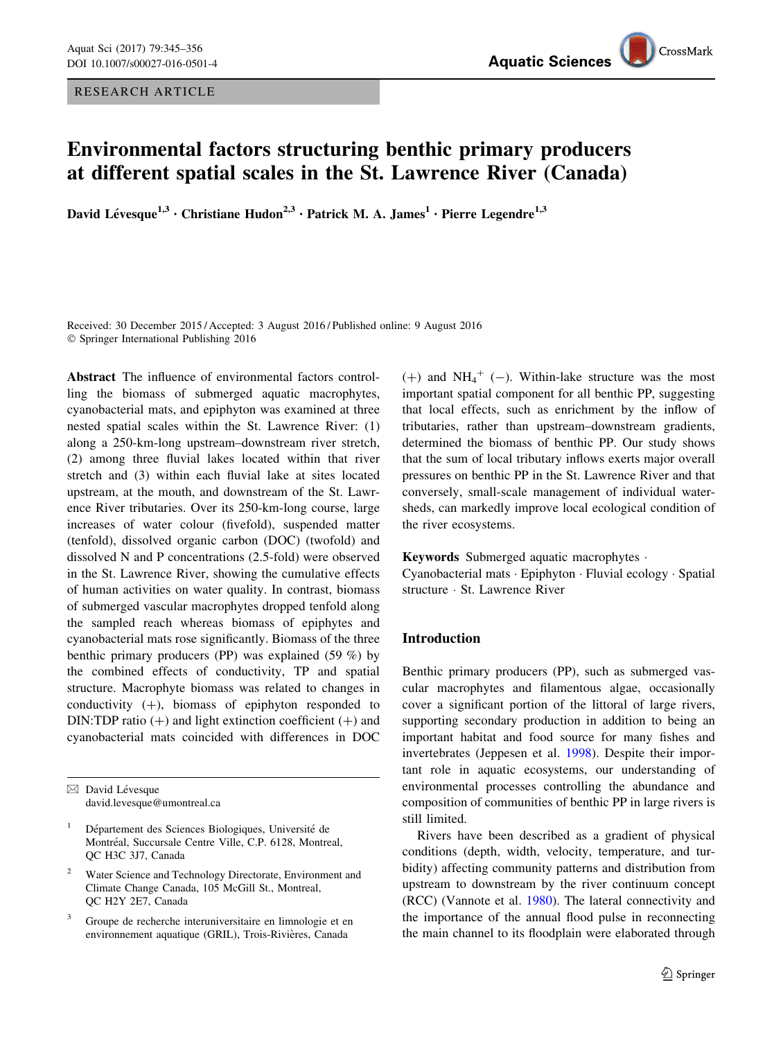RESEARCH ARTICLE

# Environmental factors structuring benthic primary producers at different spatial scales in the St. Lawrence River (Canada)

David Lévesque<sup>1,3</sup> • Christiane Hudon<sup>2,3</sup> • Patrick M. A. James<sup>1</sup> • Pierre Legendre<sup>1,3</sup>

Received: 30 December 2015 / Accepted: 3 August 2016 / Published online: 9 August 2016 - Springer International Publishing 2016

Abstract The influence of environmental factors controlling the biomass of submerged aquatic macrophytes, cyanobacterial mats, and epiphyton was examined at three nested spatial scales within the St. Lawrence River: (1) along a 250-km-long upstream–downstream river stretch, (2) among three fluvial lakes located within that river stretch and (3) within each fluvial lake at sites located upstream, at the mouth, and downstream of the St. Lawrence River tributaries. Over its 250-km-long course, large increases of water colour (fivefold), suspended matter (tenfold), dissolved organic carbon (DOC) (twofold) and dissolved N and P concentrations (2.5-fold) were observed in the St. Lawrence River, showing the cumulative effects of human activities on water quality. In contrast, biomass of submerged vascular macrophytes dropped tenfold along the sampled reach whereas biomass of epiphytes and cyanobacterial mats rose significantly. Biomass of the three benthic primary producers (PP) was explained (59 %) by the combined effects of conductivity, TP and spatial structure. Macrophyte biomass was related to changes in conductivity  $(+)$ , biomass of epiphyton responded to DIN:TDP ratio  $(+)$  and light extinction coefficient  $(+)$  and cyanobacterial mats coincided with differences in DOC

- Water Science and Technology Directorate, Environment and Climate Change Canada, 105 McGill St., Montreal, QC H2Y 2E7, Canada
- <sup>3</sup> Groupe de recherche interuniversitaire en limnologie et en environnement aquatique (GRIL), Trois-Rivières, Canada

 $(+)$  and NH<sub>4</sub><sup>+</sup> (-). Within-lake structure was the most important spatial component for all benthic PP, suggesting that local effects, such as enrichment by the inflow of tributaries, rather than upstream–downstream gradients, determined the biomass of benthic PP. Our study shows that the sum of local tributary inflows exerts major overall pressures on benthic PP in the St. Lawrence River and that conversely, small-scale management of individual watersheds, can markedly improve local ecological condition of the river ecosystems.

Keywords Submerged aquatic macrophytes -

Cyanobacterial mats - Epiphyton - Fluvial ecology - Spatial structure - St. Lawrence River

# Introduction

Benthic primary producers (PP), such as submerged vascular macrophytes and filamentous algae, occasionally cover a significant portion of the littoral of large rivers, supporting secondary production in addition to being an important habitat and food source for many fishes and invertebrates (Jeppesen et al. [1998](#page-11-0)). Despite their important role in aquatic ecosystems, our understanding of environmental processes controlling the abundance and composition of communities of benthic PP in large rivers is still limited.

Rivers have been described as a gradient of physical conditions (depth, width, velocity, temperature, and turbidity) affecting community patterns and distribution from upstream to downstream by the river continuum concept (RCC) (Vannote et al. [1980](#page-11-0)). The lateral connectivity and the importance of the annual flood pulse in reconnecting the main channel to its floodplain were elaborated through

 $\boxtimes$  David Lévesque david.levesque@umontreal.ca

Département des Sciences Biologiques, Université de Montréal, Succursale Centre Ville, C.P. 6128, Montreal, QC H3C 3J7, Canada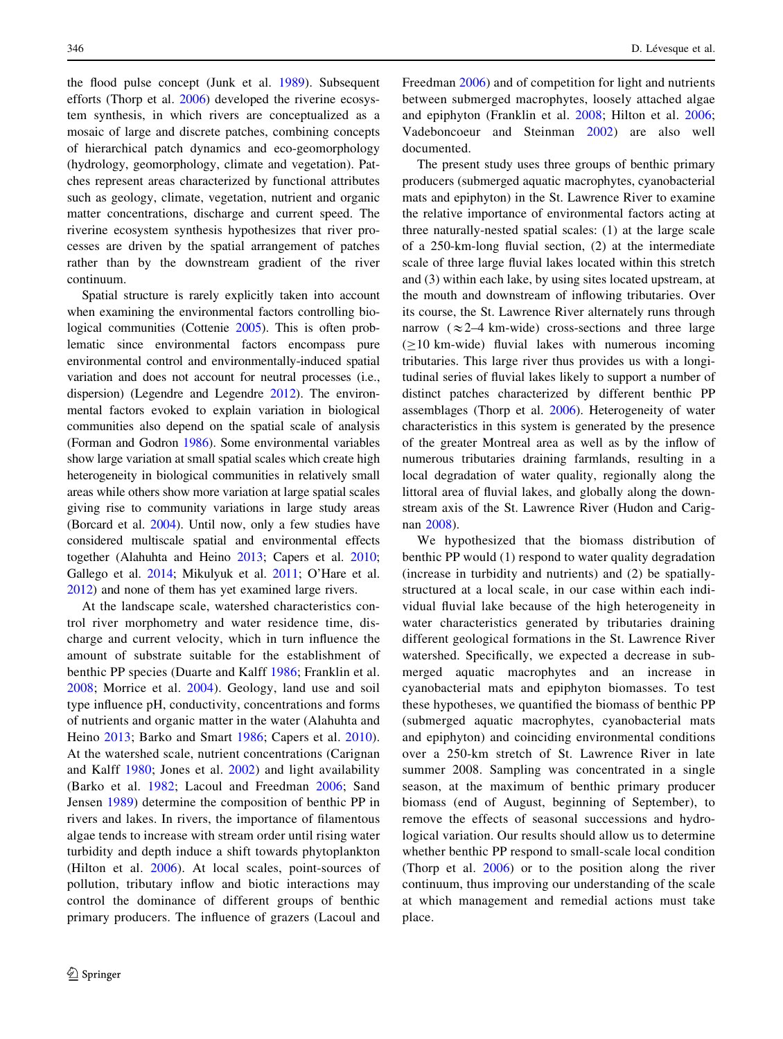the flood pulse concept (Junk et al. [1989\)](#page-11-0). Subsequent efforts (Thorp et al. [2006\)](#page-11-0) developed the riverine ecosystem synthesis, in which rivers are conceptualized as a mosaic of large and discrete patches, combining concepts of hierarchical patch dynamics and eco-geomorphology (hydrology, geomorphology, climate and vegetation). Patches represent areas characterized by functional attributes such as geology, climate, vegetation, nutrient and organic matter concentrations, discharge and current speed. The riverine ecosystem synthesis hypothesizes that river processes are driven by the spatial arrangement of patches rather than by the downstream gradient of the river continuum.

Spatial structure is rarely explicitly taken into account when examining the environmental factors controlling biological communities (Cottenie [2005\)](#page-10-0). This is often problematic since environmental factors encompass pure environmental control and environmentally-induced spatial variation and does not account for neutral processes (i.e., dispersion) (Legendre and Legendre [2012](#page-11-0)). The environmental factors evoked to explain variation in biological communities also depend on the spatial scale of analysis (Forman and Godron [1986\)](#page-10-0). Some environmental variables show large variation at small spatial scales which create high heterogeneity in biological communities in relatively small areas while others show more variation at large spatial scales giving rise to community variations in large study areas (Borcard et al. [2004\)](#page-10-0). Until now, only a few studies have considered multiscale spatial and environmental effects together (Alahuhta and Heino [2013](#page-10-0); Capers et al. [2010](#page-10-0); Gallego et al. [2014;](#page-10-0) Mikulyuk et al. [2011;](#page-11-0) O'Hare et al. [2012\)](#page-11-0) and none of them has yet examined large rivers.

At the landscape scale, watershed characteristics control river morphometry and water residence time, discharge and current velocity, which in turn influence the amount of substrate suitable for the establishment of benthic PP species (Duarte and Kalff [1986](#page-10-0); Franklin et al. [2008](#page-10-0); Morrice et al. [2004\)](#page-11-0). Geology, land use and soil type influence pH, conductivity, concentrations and forms of nutrients and organic matter in the water (Alahuhta and Heino [2013;](#page-10-0) Barko and Smart [1986;](#page-10-0) Capers et al. [2010](#page-10-0)). At the watershed scale, nutrient concentrations (Carignan and Kalff [1980](#page-10-0); Jones et al. [2002](#page-11-0)) and light availability (Barko et al. [1982;](#page-10-0) Lacoul and Freedman [2006;](#page-11-0) Sand Jensen [1989\)](#page-11-0) determine the composition of benthic PP in rivers and lakes. In rivers, the importance of filamentous algae tends to increase with stream order until rising water turbidity and depth induce a shift towards phytoplankton (Hilton et al. [2006\)](#page-10-0). At local scales, point-sources of pollution, tributary inflow and biotic interactions may control the dominance of different groups of benthic primary producers. The influence of grazers (Lacoul and Freedman [2006\)](#page-11-0) and of competition for light and nutrients between submerged macrophytes, loosely attached algae and epiphyton (Franklin et al. [2008](#page-10-0); Hilton et al. [2006](#page-10-0); Vadeboncoeur and Steinman [2002\)](#page-11-0) are also well documented.

The present study uses three groups of benthic primary producers (submerged aquatic macrophytes, cyanobacterial mats and epiphyton) in the St. Lawrence River to examine the relative importance of environmental factors acting at three naturally-nested spatial scales: (1) at the large scale of a 250-km-long fluvial section, (2) at the intermediate scale of three large fluvial lakes located within this stretch and (3) within each lake, by using sites located upstream, at the mouth and downstream of inflowing tributaries. Over its course, the St. Lawrence River alternately runs through narrow  $(\approx 2-4 \text{ km-wide})$  cross-sections and three large  $(\geq 10 \text{ km} \cdot \text{wide})$  fluvial lakes with numerous incoming tributaries. This large river thus provides us with a longitudinal series of fluvial lakes likely to support a number of distinct patches characterized by different benthic PP assemblages (Thorp et al. [2006](#page-11-0)). Heterogeneity of water characteristics in this system is generated by the presence of the greater Montreal area as well as by the inflow of numerous tributaries draining farmlands, resulting in a local degradation of water quality, regionally along the littoral area of fluvial lakes, and globally along the downstream axis of the St. Lawrence River (Hudon and Carignan [2008\)](#page-10-0).

We hypothesized that the biomass distribution of benthic PP would (1) respond to water quality degradation (increase in turbidity and nutrients) and (2) be spatiallystructured at a local scale, in our case within each individual fluvial lake because of the high heterogeneity in water characteristics generated by tributaries draining different geological formations in the St. Lawrence River watershed. Specifically, we expected a decrease in submerged aquatic macrophytes and an increase in cyanobacterial mats and epiphyton biomasses. To test these hypotheses, we quantified the biomass of benthic PP (submerged aquatic macrophytes, cyanobacterial mats and epiphyton) and coinciding environmental conditions over a 250-km stretch of St. Lawrence River in late summer 2008. Sampling was concentrated in a single season, at the maximum of benthic primary producer biomass (end of August, beginning of September), to remove the effects of seasonal successions and hydrological variation. Our results should allow us to determine whether benthic PP respond to small-scale local condition (Thorp et al. [2006\)](#page-11-0) or to the position along the river continuum, thus improving our understanding of the scale at which management and remedial actions must take place.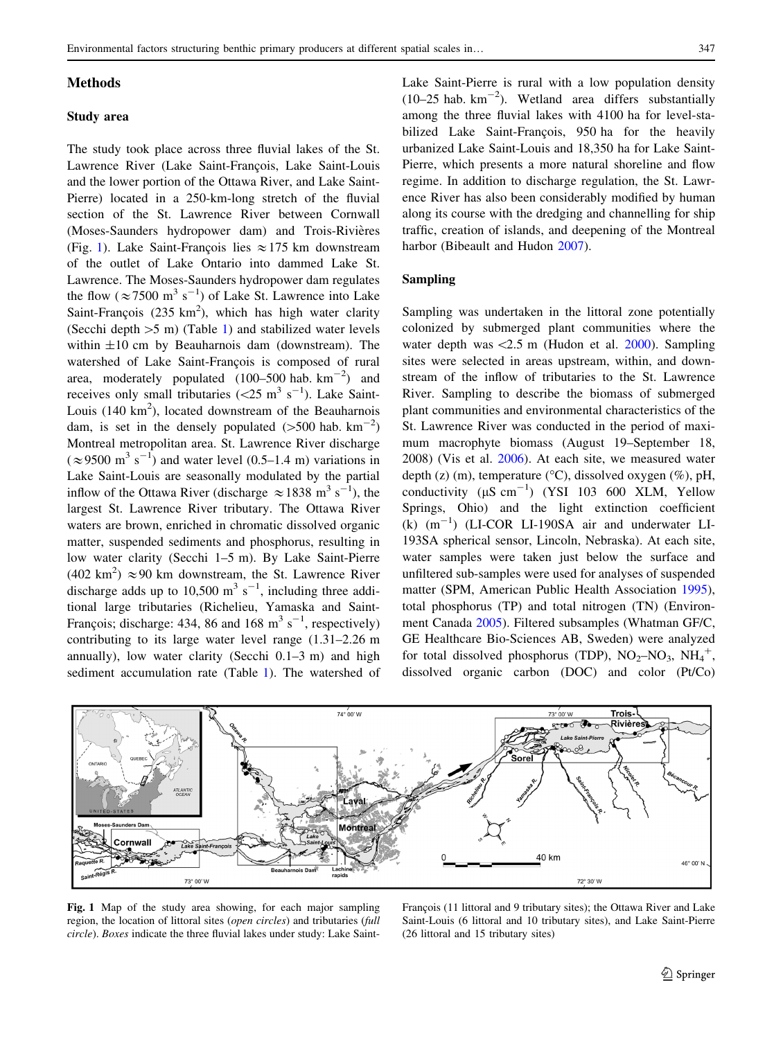#### <span id="page-2-0"></span>Methods

### Study area

The study took place across three fluvial lakes of the St. Lawrence River (Lake Saint-François, Lake Saint-Louis and the lower portion of the Ottawa River, and Lake Saint-Pierre) located in a 250-km-long stretch of the fluvial section of the St. Lawrence River between Cornwall (Moses-Saunders hydropower dam) and Trois-Rivières (Fig. 1). Lake Saint-François lies  $\approx$  175 km downstream of the outlet of Lake Ontario into dammed Lake St. Lawrence. The Moses-Saunders hydropower dam regulates the flow ( $\approx$  7500 m<sup>3</sup> s<sup>-1</sup>) of Lake St. Lawrence into Lake Saint-François (235  $km^2$ ), which has high water clarity (Secchi depth  $>5$  m) (Table [1\)](#page-3-0) and stabilized water levels within  $\pm 10$  cm by Beauharnois dam (downstream). The watershed of Lake Saint-François is composed of rural area, moderately populated  $(100-500 \text{ hab. km}^{-2})$  and receives only small tributaries  $(<25 \text{ m}^3 \text{ s}^{-1})$ . Lake Saint-Louis  $(140 \text{ km}^2)$ , located downstream of the Beauharnois dam, is set in the densely populated  $(>500$  hab. km<sup>-2</sup>) Montreal metropolitan area. St. Lawrence River discharge  $(\approx 9500 \text{ m}^3 \text{ s}^{-1})$  and water level (0.5–1.4 m) variations in Lake Saint-Louis are seasonally modulated by the partial inflow of the Ottawa River (discharge  $\approx 1838$  m<sup>3</sup> s<sup>-1</sup>), the largest St. Lawrence River tributary. The Ottawa River waters are brown, enriched in chromatic dissolved organic matter, suspended sediments and phosphorus, resulting in low water clarity (Secchi 1–5 m). By Lake Saint-Pierre  $(402 \text{ km}^2) \approx 90 \text{ km}$  downstream, the St. Lawrence River discharge adds up to 10,500  $\text{m}^3$  s<sup>-1</sup>, including three additional large tributaries (Richelieu, Yamaska and Saint-François; discharge: 434, 86 and 168 m<sup>3</sup> s<sup>-1</sup>, respectively) contributing to its large water level range (1.31–2.26 m annually), low water clarity (Secchi 0.1–3 m) and high sediment accumulation rate (Table [1\)](#page-3-0). The watershed of Lake Saint-Pierre is rural with a low population density  $(10-25$  hab.  $km^{-2}$ ). Wetland area differs substantially among the three fluvial lakes with 4100 ha for level-stabilized Lake Saint-François, 950 ha for the heavily urbanized Lake Saint-Louis and 18,350 ha for Lake Saint-Pierre, which presents a more natural shoreline and flow regime. In addition to discharge regulation, the St. Lawrence River has also been considerably modified by human along its course with the dredging and channelling for ship traffic, creation of islands, and deepening of the Montreal harbor (Bibeault and Hudon [2007](#page-10-0)).

# Sampling

Sampling was undertaken in the littoral zone potentially colonized by submerged plant communities where the water depth was  $\langle 2.5 \text{ m}$  (Hudon et al. [2000](#page-10-0)). Sampling sites were selected in areas upstream, within, and downstream of the inflow of tributaries to the St. Lawrence River. Sampling to describe the biomass of submerged plant communities and environmental characteristics of the St. Lawrence River was conducted in the period of maximum macrophyte biomass (August 19–September 18, 2008) (Vis et al. [2006\)](#page-11-0). At each site, we measured water depth (z) (m), temperature ( $\rm{^{\circ}C}$ ), dissolved oxygen (%), pH, conductivity  $(\mu S \text{ cm}^{-1})$  (YSI 103 600 XLM, Yellow Springs, Ohio) and the light extinction coefficient  $(k)$   $(m^{-1})$  (LI-COR LI-190SA air and underwater LI-193SA spherical sensor, Lincoln, Nebraska). At each site, water samples were taken just below the surface and unfiltered sub-samples were used for analyses of suspended matter (SPM, American Public Health Association [1995](#page-10-0)), total phosphorus (TP) and total nitrogen (TN) (Environment Canada [2005](#page-10-0)). Filtered subsamples (Whatman GF/C, GE Healthcare Bio-Sciences AB, Sweden) were analyzed for total dissolved phosphorus (TDP),  $NO<sub>2</sub>–NO<sub>3</sub>$ ,  $NH<sub>4</sub><sup>+</sup>$ , dissolved organic carbon (DOC) and color (Pt/Co)



Fig. 1 Map of the study area showing, for each major sampling region, the location of littoral sites (open circles) and tributaries (full circle). Boxes indicate the three fluvial lakes under study: Lake Saint-

François (11 littoral and 9 tributary sites); the Ottawa River and Lake Saint-Louis (6 littoral and 10 tributary sites), and Lake Saint-Pierre (26 littoral and 15 tributary sites)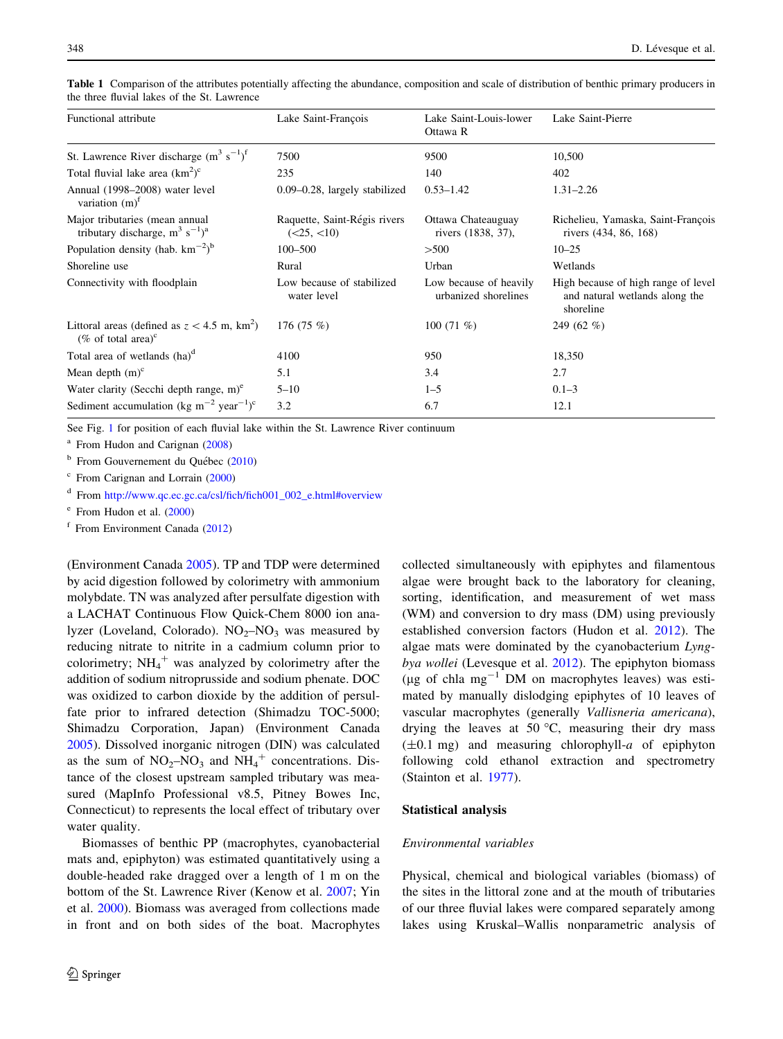| Functional attribute                                                                        | Lake Saint-François                       | Lake Saint-Louis-lower<br>Ottawa R             | Lake Saint-Pierre                                                                  |
|---------------------------------------------------------------------------------------------|-------------------------------------------|------------------------------------------------|------------------------------------------------------------------------------------|
| St. Lawrence River discharge $(m^3 s^{-1})^f$                                               | 7500                                      | 9500                                           | 10,500                                                                             |
| Total fluvial lake area $(km^2)^c$                                                          | 235                                       | 140                                            | 402                                                                                |
| Annual (1998–2008) water level<br>variation $(m)^f$                                         | $0.09 - 0.28$ , largely stabilized        | $0.53 - 1.42$                                  | $1.31 - 2.26$                                                                      |
| Major tributaries (mean annual<br>tributary discharge, $m^3$ s <sup>-1</sup> ) <sup>a</sup> | Raquette, Saint-Régis rivers<br>(<25,<10) | Ottawa Chateauguay<br>rivers (1838, 37),       | Richelieu, Yamaska, Saint-François<br>rivers (434, 86, 168)                        |
| Population density (hab. $km^{-2}$ ) <sup>b</sup>                                           | $100 - 500$                               | >500                                           | $10 - 25$                                                                          |
| Shoreline use                                                                               | Rural                                     | Urban                                          | Wetlands                                                                           |
| Connectivity with floodplain                                                                | Low because of stabilized<br>water level  | Low because of heavily<br>urbanized shorelines | High because of high range of level<br>and natural wetlands along the<br>shoreline |
| Littoral areas (defined as $z < 4.5$ m, km <sup>2</sup> )<br>(% of total area) $\rm{^c}$    | 176 $(75\%)$                              | 100 $(71\%)$                                   | 249 $(62\%$                                                                        |
| Total area of wetlands $(ha)^d$                                                             | 4100                                      | 950                                            | 18,350                                                                             |
| Mean depth $(m)^c$                                                                          | 5.1                                       | 3.4                                            | 2.7                                                                                |
| Water clarity (Secchi depth range, $m$ ) <sup>e</sup>                                       | $5 - 10$                                  | $1 - 5$                                        | $0.1 - 3$                                                                          |
| Sediment accumulation (kg m <sup>-2</sup> year <sup>-1</sup> ) <sup>c</sup>                 | 3.2                                       | 6.7                                            | 12.1                                                                               |

<span id="page-3-0"></span>Table 1 Comparison of the attributes potentially affecting the abundance, composition and scale of distribution of benthic primary producers in the three fluvial lakes of the St. Lawrence

See Fig. [1](#page-2-0) for position of each fluvial lake within the St. Lawrence River continuum

From Hudon and Carignan [\(2008\)](#page-10-0)

 $<sup>b</sup>$  From Gouvernement du Québec ([2010\)](#page-10-0)</sup>

<sup>c</sup> From Carignan and Lorrain [\(2000](#page-10-0))

<sup>d</sup> From [http://www.qc.ec.gc.ca/csl/fich/fich001\\_002\\_e.html#overview](http://www.qc.ec.gc.ca/csl/fich/fich001_002_e.html%23overview)

<sup>e</sup> From Hudon et al. [\(2000](#page-10-0))

 $f$  From Environment Canada ([2012\)](#page-10-0)

(Environment Canada [2005\)](#page-10-0). TP and TDP were determined by acid digestion followed by colorimetry with ammonium molybdate. TN was analyzed after persulfate digestion with a LACHAT Continuous Flow Quick-Chem 8000 ion analyzer (Loveland, Colorado).  $NO<sub>2</sub>–NO<sub>3</sub>$  was measured by reducing nitrate to nitrite in a cadmium column prior to colorimetry;  $NH_4$ <sup>+</sup> was analyzed by colorimetry after the addition of sodium nitroprusside and sodium phenate. DOC was oxidized to carbon dioxide by the addition of persulfate prior to infrared detection (Shimadzu TOC-5000; Shimadzu Corporation, Japan) (Environment Canada [2005\)](#page-10-0). Dissolved inorganic nitrogen (DIN) was calculated as the sum of  $NO<sub>2</sub>-NO<sub>3</sub>$  and  $NH<sub>4</sub><sup>+</sup>$  concentrations. Distance of the closest upstream sampled tributary was measured (MapInfo Professional v8.5, Pitney Bowes Inc, Connecticut) to represents the local effect of tributary over water quality.

Biomasses of benthic PP (macrophytes, cyanobacterial mats and, epiphyton) was estimated quantitatively using a double-headed rake dragged over a length of 1 m on the bottom of the St. Lawrence River (Kenow et al. [2007](#page-11-0); Yin et al. [2000](#page-11-0)). Biomass was averaged from collections made in front and on both sides of the boat. Macrophytes

collected simultaneously with epiphytes and filamentous algae were brought back to the laboratory for cleaning, sorting, identification, and measurement of wet mass (WM) and conversion to dry mass (DM) using previously established conversion factors (Hudon et al. [2012](#page-10-0)). The algae mats were dominated by the cyanobacterium Lyngbya wollei (Levesque et al. [2012](#page-11-0)). The epiphyton biomass (µg of chla mg<sup>-1</sup> DM on macrophytes leaves) was estimated by manually dislodging epiphytes of 10 leaves of vascular macrophytes (generally Vallisneria americana), drying the leaves at 50  $\degree$ C, measuring their dry mass  $(\pm 0.1 \text{ mg})$  and measuring chlorophyll-a of epiphyton following cold ethanol extraction and spectrometry (Stainton et al. [1977\)](#page-11-0).

#### Statistical analysis

#### Environmental variables

Physical, chemical and biological variables (biomass) of the sites in the littoral zone and at the mouth of tributaries of our three fluvial lakes were compared separately among lakes using Kruskal–Wallis nonparametric analysis of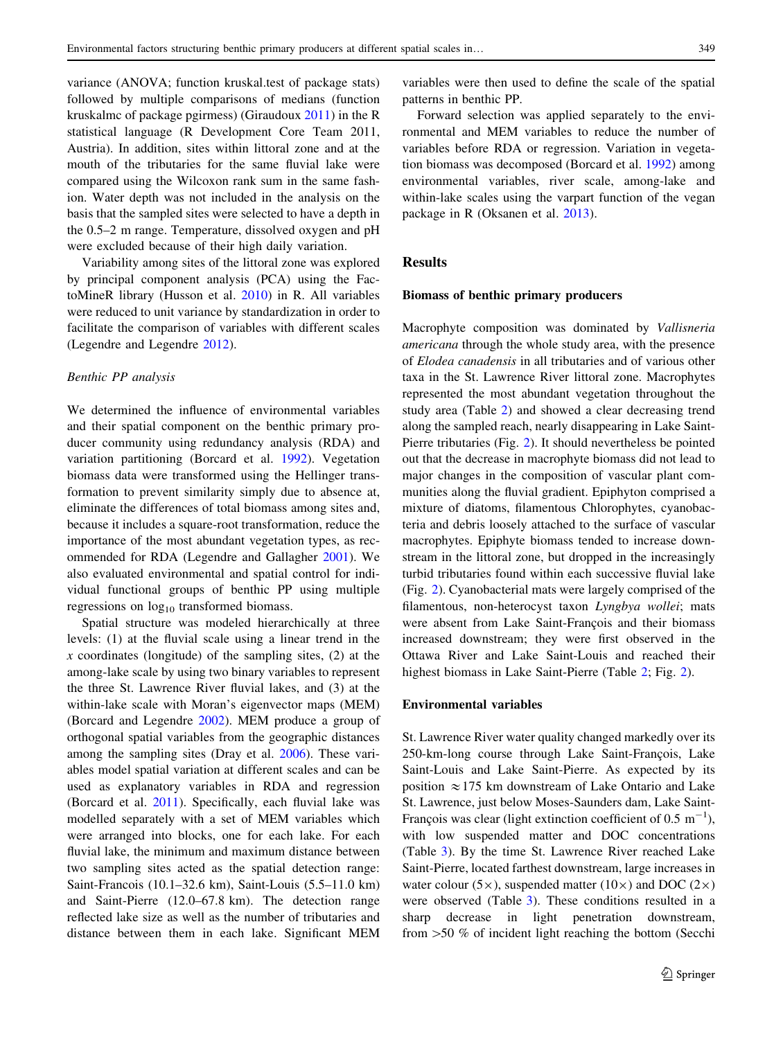variance (ANOVA; function kruskal.test of package stats) followed by multiple comparisons of medians (function kruskalmc of package pgirmess) (Giraudoux [2011\)](#page-10-0) in the R statistical language (R Development Core Team 2011, Austria). In addition, sites within littoral zone and at the mouth of the tributaries for the same fluvial lake were compared using the Wilcoxon rank sum in the same fashion. Water depth was not included in the analysis on the basis that the sampled sites were selected to have a depth in the 0.5–2 m range. Temperature, dissolved oxygen and pH were excluded because of their high daily variation.

Variability among sites of the littoral zone was explored by principal component analysis (PCA) using the FactoMineR library (Husson et al. [2010\)](#page-11-0) in R. All variables were reduced to unit variance by standardization in order to facilitate the comparison of variables with different scales (Legendre and Legendre [2012](#page-11-0)).

### Benthic PP analysis

We determined the influence of environmental variables and their spatial component on the benthic primary producer community using redundancy analysis (RDA) and variation partitioning (Borcard et al. [1992\)](#page-10-0). Vegetation biomass data were transformed using the Hellinger transformation to prevent similarity simply due to absence at, eliminate the differences of total biomass among sites and, because it includes a square-root transformation, reduce the importance of the most abundant vegetation types, as recommended for RDA (Legendre and Gallagher [2001\)](#page-11-0). We also evaluated environmental and spatial control for individual functional groups of benthic PP using multiple regressions on  $log_{10}$  transformed biomass.

Spatial structure was modeled hierarchically at three levels: (1) at the fluvial scale using a linear trend in the  $x$  coordinates (longitude) of the sampling sites,  $(2)$  at the among-lake scale by using two binary variables to represent the three St. Lawrence River fluvial lakes, and (3) at the within-lake scale with Moran's eigenvector maps (MEM) (Borcard and Legendre [2002\)](#page-10-0). MEM produce a group of orthogonal spatial variables from the geographic distances among the sampling sites (Dray et al. [2006\)](#page-10-0). These variables model spatial variation at different scales and can be used as explanatory variables in RDA and regression (Borcard et al. [2011](#page-10-0)). Specifically, each fluvial lake was modelled separately with a set of MEM variables which were arranged into blocks, one for each lake. For each fluvial lake, the minimum and maximum distance between two sampling sites acted as the spatial detection range: Saint-Francois (10.1–32.6 km), Saint-Louis (5.5–11.0 km) and Saint-Pierre (12.0–67.8 km). The detection range reflected lake size as well as the number of tributaries and distance between them in each lake. Significant MEM variables were then used to define the scale of the spatial patterns in benthic PP.

Forward selection was applied separately to the environmental and MEM variables to reduce the number of variables before RDA or regression. Variation in vegetation biomass was decomposed (Borcard et al. [1992](#page-10-0)) among environmental variables, river scale, among-lake and within-lake scales using the varpart function of the vegan package in R (Oksanen et al. [2013\)](#page-11-0).

## **Results**

## Biomass of benthic primary producers

Macrophyte composition was dominated by Vallisneria americana through the whole study area, with the presence of Elodea canadensis in all tributaries and of various other taxa in the St. Lawrence River littoral zone. Macrophytes represented the most abundant vegetation throughout the study area (Table [2](#page-5-0)) and showed a clear decreasing trend along the sampled reach, nearly disappearing in Lake Saint-Pierre tributaries (Fig. [2](#page-6-0)). It should nevertheless be pointed out that the decrease in macrophyte biomass did not lead to major changes in the composition of vascular plant communities along the fluvial gradient. Epiphyton comprised a mixture of diatoms, filamentous Chlorophytes, cyanobacteria and debris loosely attached to the surface of vascular macrophytes. Epiphyte biomass tended to increase downstream in the littoral zone, but dropped in the increasingly turbid tributaries found within each successive fluvial lake (Fig. [2\)](#page-6-0). Cyanobacterial mats were largely comprised of the filamentous, non-heterocyst taxon Lyngbya wollei; mats were absent from Lake Saint-François and their biomass increased downstream; they were first observed in the Ottawa River and Lake Saint-Louis and reached their highest biomass in Lake Saint-Pierre (Table [2;](#page-5-0) Fig. [2\)](#page-6-0).

#### Environmental variables

St. Lawrence River water quality changed markedly over its 250-km-long course through Lake Saint-François, Lake Saint-Louis and Lake Saint-Pierre. As expected by its position  $\approx$  175 km downstream of Lake Ontario and Lake St. Lawrence, just below Moses-Saunders dam, Lake Saint-François was clear (light extinction coefficient of 0.5  $m^{-1}$ ), with low suspended matter and DOC concentrations (Table [3\)](#page-7-0). By the time St. Lawrence River reached Lake Saint-Pierre, located farthest downstream, large increases in water colour (5 $\times$ ), suspended matter (10 $\times$ ) and DOC (2 $\times$ ) were observed (Table [3](#page-7-0)). These conditions resulted in a sharp decrease in light penetration downstream, from  $>50$  % of incident light reaching the bottom (Secchi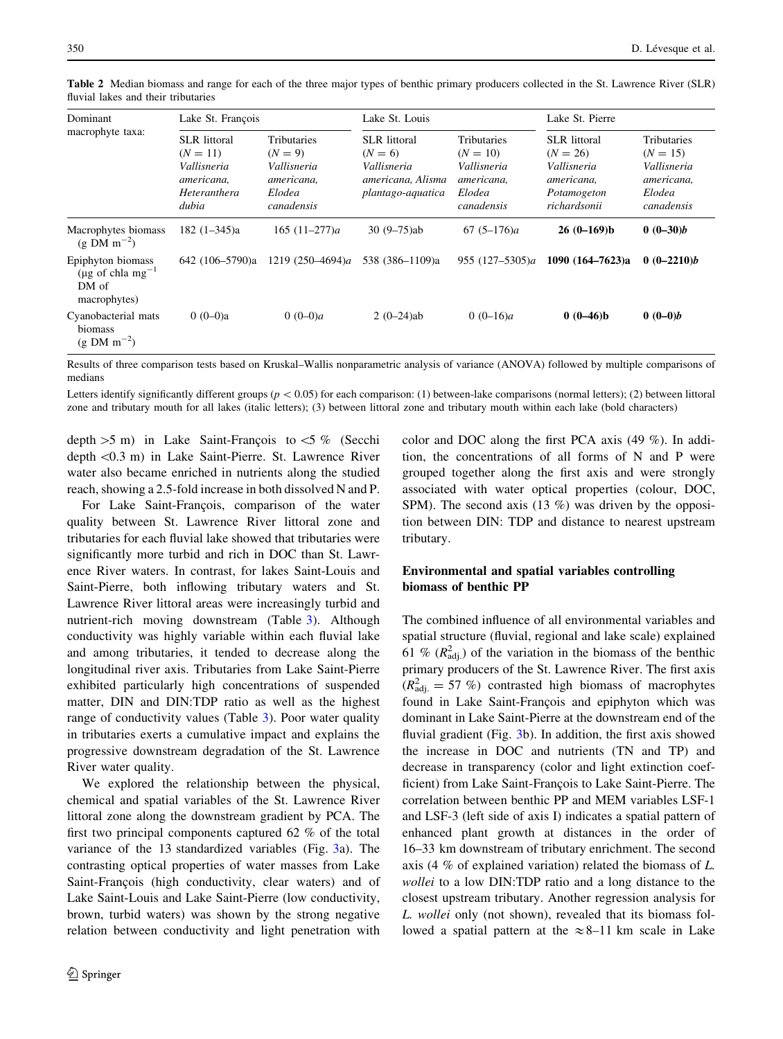| Dominant<br>macrophyte taxa:                                               | Lake St. François                                                                       |                                                                                      | Lake St. Louis                                                                            |                                                                                       | Lake St. Pierre                                                                               |                                                                                       |
|----------------------------------------------------------------------------|-----------------------------------------------------------------------------------------|--------------------------------------------------------------------------------------|-------------------------------------------------------------------------------------------|---------------------------------------------------------------------------------------|-----------------------------------------------------------------------------------------------|---------------------------------------------------------------------------------------|
|                                                                            | <b>SLR</b> littoral<br>$(N = 11)$<br>Vallisneria<br>americana,<br>Heteranthera<br>dubia | <b>Tributaries</b><br>$(N = 9)$<br>Vallisneria<br>americana,<br>Elodea<br>canadensis | <b>SLR</b> littoral<br>$(N = 6)$<br>Vallisneria<br>americana, Alisma<br>plantago-aquatica | <b>Tributaries</b><br>$(N = 10)$<br>Vallisneria<br>americana,<br>Elodea<br>canadensis | <b>SLR</b> littoral<br>$(N = 26)$<br>Vallisneria<br>americana,<br>Potamogeton<br>richardsonii | <b>Tributaries</b><br>$(N = 15)$<br>Vallisneria<br>americana,<br>Elodea<br>canadensis |
| Macrophytes biomass<br>$(g DM m^{-2})$                                     | $182(1-345)a$                                                                           | 165 $(11-277)a$                                                                      | $30(9 - 75)$ ab                                                                           | $67(5-176)a$                                                                          | $26(0-169)b$                                                                                  | $0(0-30)b$                                                                            |
| Epiphyton biomass<br>(µg of chla mg <sup>-1</sup><br>DM of<br>macrophytes) | 642 (106–5790)a                                                                         | 1219 (250–4694)a                                                                     | 538 (386–1109)a                                                                           | 955 $(127-5305)a$                                                                     | 1090 $(164 - 7623)a$                                                                          | $0(0-2210)b$                                                                          |
| Cyanobacterial mats<br>biomass<br>$(g DM m^{-2})$                          | $0(0-0)a$                                                                               | 0 $(0-0)a$                                                                           | $2(0-24)ab$                                                                               | 0 $(0-16)a$                                                                           | $0(0-46)b$                                                                                    | $0(0-0)b$                                                                             |

<span id="page-5-0"></span>Table 2 Median biomass and range for each of the three major types of benthic primary producers collected in the St. Lawrence River (SLR) fluvial lakes and their tributaries

Results of three comparison tests based on Kruskal–Wallis nonparametric analysis of variance (ANOVA) followed by multiple comparisons of medians

Letters identify significantly different groups ( $p < 0.05$ ) for each comparison: (1) between-lake comparisons (normal letters); (2) between littoral zone and tributary mouth for all lakes (italic letters); (3) between littoral zone and tributary mouth within each lake (bold characters)

depth  $>5$  m) in Lake Saint-François to  $<5$  % (Secchi depth \0.3 m) in Lake Saint-Pierre. St. Lawrence River water also became enriched in nutrients along the studied reach, showing a 2.5-fold increase in both dissolved N and P.

For Lake Saint-François, comparison of the water quality between St. Lawrence River littoral zone and tributaries for each fluvial lake showed that tributaries were significantly more turbid and rich in DOC than St. Lawrence River waters. In contrast, for lakes Saint-Louis and Saint-Pierre, both inflowing tributary waters and St. Lawrence River littoral areas were increasingly turbid and nutrient-rich moving downstream (Table [3\)](#page-7-0). Although conductivity was highly variable within each fluvial lake and among tributaries, it tended to decrease along the longitudinal river axis. Tributaries from Lake Saint-Pierre exhibited particularly high concentrations of suspended matter, DIN and DIN:TDP ratio as well as the highest range of conductivity values (Table [3\)](#page-7-0). Poor water quality in tributaries exerts a cumulative impact and explains the progressive downstream degradation of the St. Lawrence River water quality.

We explored the relationship between the physical, chemical and spatial variables of the St. Lawrence River littoral zone along the downstream gradient by PCA. The first two principal components captured 62 % of the total variance of the 13 standardized variables (Fig. [3](#page-8-0)a). The contrasting optical properties of water masses from Lake Saint-François (high conductivity, clear waters) and of Lake Saint-Louis and Lake Saint-Pierre (low conductivity, brown, turbid waters) was shown by the strong negative relation between conductivity and light penetration with color and DOC along the first PCA axis (49 %). In addition, the concentrations of all forms of N and P were grouped together along the first axis and were strongly associated with water optical properties (colour, DOC, SPM). The second axis  $(13 \%)$  was driven by the opposition between DIN: TDP and distance to nearest upstream tributary.

# Environmental and spatial variables controlling biomass of benthic PP

The combined influence of all environmental variables and spatial structure (fluvial, regional and lake scale) explained 61 %  $(R_{\text{adj}}^2)$  of the variation in the biomass of the benthic primary producers of the St. Lawrence River. The first axis  $(R<sub>adj.</sub><sup>2</sup> = 57 %)$  contrasted high biomass of macrophytes found in Lake Saint-François and epiphyton which was dominant in Lake Saint-Pierre at the downstream end of the fluvial gradient (Fig. [3b](#page-8-0)). In addition, the first axis showed the increase in DOC and nutrients (TN and TP) and decrease in transparency (color and light extinction coefficient) from Lake Saint-François to Lake Saint-Pierre. The correlation between benthic PP and MEM variables LSF-1 and LSF-3 (left side of axis I) indicates a spatial pattern of enhanced plant growth at distances in the order of 16–33 km downstream of tributary enrichment. The second axis (4 % of explained variation) related the biomass of L. wollei to a low DIN:TDP ratio and a long distance to the closest upstream tributary. Another regression analysis for L. wollei only (not shown), revealed that its biomass followed a spatial pattern at the  $\approx 8-11$  km scale in Lake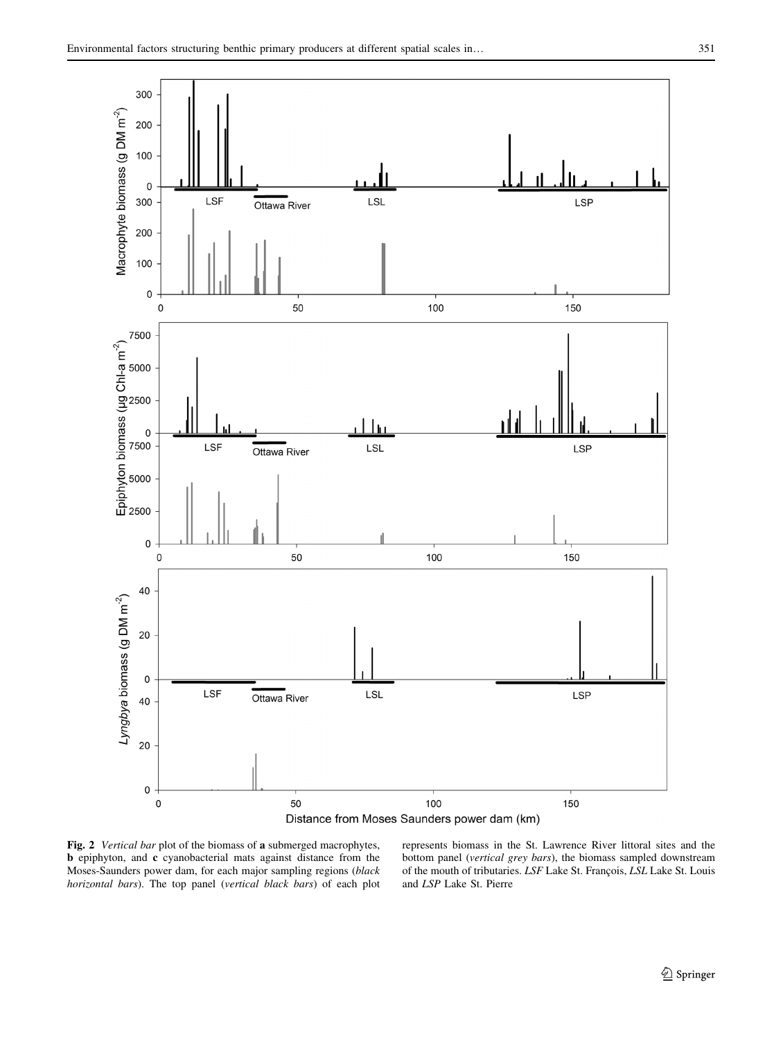<span id="page-6-0"></span>



Fig. 2 Vertical bar plot of the biomass of a submerged macrophytes, b epiphyton, and c cyanobacterial mats against distance from the Moses-Saunders power dam, for each major sampling regions (black horizontal bars). The top panel (vertical black bars) of each plot

represents biomass in the St. Lawrence River littoral sites and the bottom panel (vertical grey bars), the biomass sampled downstream of the mouth of tributaries. LSF Lake St. François, LSL Lake St. Louis and LSP Lake St. Pierre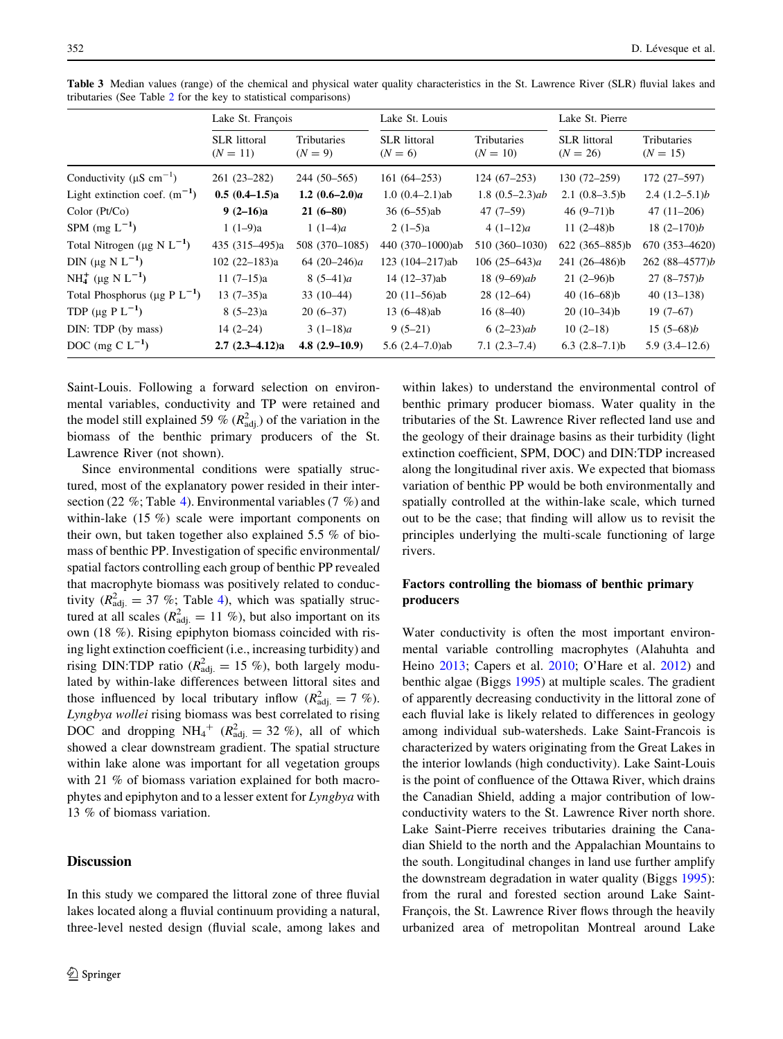|                                                | Lake St. François                 |                                 | Lake St. Louis                   |                           | Lake St. Pierre                   |                           |
|------------------------------------------------|-----------------------------------|---------------------------------|----------------------------------|---------------------------|-----------------------------------|---------------------------|
|                                                | <b>SLR</b> littoral<br>$(N = 11)$ | <b>Tributaries</b><br>$(N = 9)$ | <b>SLR</b> littoral<br>$(N = 6)$ | Tributaries<br>$(N = 10)$ | <b>SLR</b> littoral<br>$(N = 26)$ | Tributaries<br>$(N = 15)$ |
| Conductivity ( $\mu$ S cm <sup>-1</sup> )      | $261(23-282)$                     | $244(50-565)$                   | $161(64 - 253)$                  | $124(67-253)$             | $130(72 - 259)$                   | $172(27-597)$             |
| Light extinction coef. $(m^{-1})$              | $0.5(0.4-1.5)a$                   | 1.2 $(0.6-2.0)a$                | $1.0(0.4-2.1)$ ab                | $1.8(0.5-2.3)ab$          | $2.1(0.8-3.5)b$                   | $2.4(1.2-5.1)b$           |
| Color (Pt/Co)                                  | $9(2-16)a$                        | $21(6-80)$                      | $36(6-55)ab$                     | $47(7-59)$                | 46 $(9-71)b$                      | $47(11-206)$              |
| SPM $(mg L^{-1})$                              | $1(1-9)a$                         | 1 $(1-4)a$                      | $2(1-5)a$                        | $4(1-12)a$                | 11 $(2-48)b$                      | $18(2-170)b$              |
| Total Nitrogen ( $\mu$ g N L <sup>-1</sup> )   | 435 (315–495)a                    | 508 (370-1085)                  | 440 (370-1000)ab                 | 510 (360-1030)            | $622(365 - 885)b$                 | 670 (353-4620)            |
| DIN ( $\mu$ g N L <sup>-1</sup> )              | $102(22-183)a$                    | 64 $(20-246)a$                  | 123 (104-217)ab                  | 106 $(25-643)a$           | 241 (26-486)b                     | 262 (88-4577)b            |
| NH <sub>4</sub> (µg N L <sup>-1</sup> )        | $11(7-15)a$                       | $8(5-41)a$                      | $14(12-37)ab$                    | 18 $(9-69)ab$             | $21(2-96)b$                       | $27(8-757)b$              |
| Total Phosphorus ( $\mu$ g P L <sup>-1</sup> ) | $13(7-35)a$                       | $33(10-44)$                     | $20(11-56)ab$                    | $28(12-64)$               | 40 $(16-68)b$                     | $40(13-138)$              |
| TDP ( $\mu$ g P L <sup>-1</sup> )              | $8(5-23)a$                        | $20(6-37)$                      | $13(6-48)ab$                     | $16(8-40)$                | $20(10-34)b$                      | $19(7-67)$                |
| DIN: TDP (by mass)                             | $14(2-24)$                        | $3(1-18)a$                      | $9(5-21)$                        | $6(2-23)ab$               | $10(2-18)$                        | $15(5-68)b$               |
| DOC (mg C $L^{-1}$ )                           | $2.7(2.3-4.12)a$                  | $4.8(2.9-10.9)$                 | 5.6 $(2.4 - 7.0)$ ab             | $7.1(2.3-7.4)$            | $6.3$ $(2.8-7.1)$ b               | $5.9(3.4-12.6)$           |

<span id="page-7-0"></span>Table 3 Median values (range) of the chemical and physical water quality characteristics in the St. Lawrence River (SLR) fluvial lakes and tributaries (See Table [2](#page-5-0) for the key to statistical comparisons)

Saint-Louis. Following a forward selection on environmental variables, conductivity and TP were retained and the model still explained 59 %  $(R<sub>adj</sub><sup>2</sup>)$  of the variation in the biomass of the benthic primary producers of the St. Lawrence River (not shown).

Since environmental conditions were spatially structured, most of the explanatory power resided in their intersection (22 %; Table [4](#page-9-0)). Environmental variables (7 %) and within-lake (15 %) scale were important components on their own, but taken together also explained 5.5 % of biomass of benthic PP. Investigation of specific environmental/ spatial factors controlling each group of benthic PP revealed that macrophyte biomass was positively related to conductivity ( $R_{\text{adj.}}^2 = 37$  %; Table [4\)](#page-9-0), which was spatially structured at all scales ( $R_{\text{adj.}}^2 = 11 \%$ ), but also important on its own (18 %). Rising epiphyton biomass coincided with rising light extinction coefficient (i.e., increasing turbidity) and rising DIN:TDP ratio ( $R_{\text{adj.}}^2 = 15$  %), both largely modulated by within-lake differences between littoral sites and those influenced by local tributary inflow  $(R_{\text{adj.}}^2 = 7 \%)$ . Lyngbya wollei rising biomass was best correlated to rising DOC and dropping  $NH_4^+$  ( $R_{\text{adj.}}^2 = 32$  %), all of which showed a clear downstream gradient. The spatial structure within lake alone was important for all vegetation groups with 21 % of biomass variation explained for both macrophytes and epiphyton and to a lesser extent for Lyngbya with 13 % of biomass variation.

# **Discussion**

In this study we compared the littoral zone of three fluvial lakes located along a fluvial continuum providing a natural, three-level nested design (fluvial scale, among lakes and

within lakes) to understand the environmental control of benthic primary producer biomass. Water quality in the tributaries of the St. Lawrence River reflected land use and the geology of their drainage basins as their turbidity (light extinction coefficient, SPM, DOC) and DIN:TDP increased along the longitudinal river axis. We expected that biomass variation of benthic PP would be both environmentally and spatially controlled at the within-lake scale, which turned out to be the case; that finding will allow us to revisit the principles underlying the multi-scale functioning of large rivers.

# Factors controlling the biomass of benthic primary producers

Water conductivity is often the most important environmental variable controlling macrophytes (Alahuhta and Heino [2013](#page-10-0); Capers et al. [2010](#page-10-0); O'Hare et al. [2012\)](#page-11-0) and benthic algae (Biggs [1995\)](#page-10-0) at multiple scales. The gradient of apparently decreasing conductivity in the littoral zone of each fluvial lake is likely related to differences in geology among individual sub-watersheds. Lake Saint-Francois is characterized by waters originating from the Great Lakes in the interior lowlands (high conductivity). Lake Saint-Louis is the point of confluence of the Ottawa River, which drains the Canadian Shield, adding a major contribution of lowconductivity waters to the St. Lawrence River north shore. Lake Saint-Pierre receives tributaries draining the Canadian Shield to the north and the Appalachian Mountains to the south. Longitudinal changes in land use further amplify the downstream degradation in water quality (Biggs [1995](#page-10-0)): from the rural and forested section around Lake Saint-François, the St. Lawrence River flows through the heavily urbanized area of metropolitan Montreal around Lake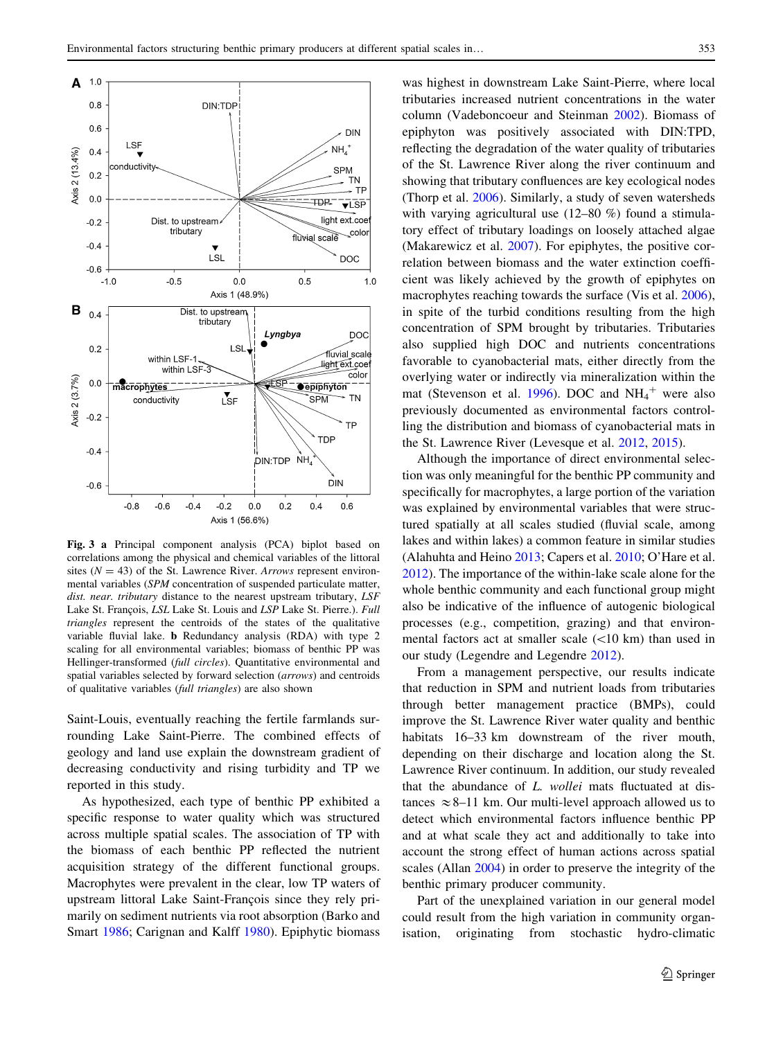<span id="page-8-0"></span>

Fig. 3 a Principal component analysis (PCA) biplot based on correlations among the physical and chemical variables of the littoral sites ( $N = 43$ ) of the St. Lawrence River. Arrows represent environmental variables (SPM concentration of suspended particulate matter, dist. near. tributary distance to the nearest upstream tributary, LSF Lake St. François, LSL Lake St. Louis and LSP Lake St. Pierre.). Full triangles represent the centroids of the states of the qualitative variable fluvial lake. b Redundancy analysis (RDA) with type 2 scaling for all environmental variables; biomass of benthic PP was Hellinger-transformed (full circles). Quantitative environmental and spatial variables selected by forward selection (arrows) and centroids of qualitative variables (full triangles) are also shown

Saint-Louis, eventually reaching the fertile farmlands surrounding Lake Saint-Pierre. The combined effects of geology and land use explain the downstream gradient of decreasing conductivity and rising turbidity and TP we reported in this study.

As hypothesized, each type of benthic PP exhibited a specific response to water quality which was structured across multiple spatial scales. The association of TP with the biomass of each benthic PP reflected the nutrient acquisition strategy of the different functional groups. Macrophytes were prevalent in the clear, low TP waters of upstream littoral Lake Saint-François since they rely primarily on sediment nutrients via root absorption (Barko and Smart [1986;](#page-10-0) Carignan and Kalff [1980](#page-10-0)). Epiphytic biomass was highest in downstream Lake Saint-Pierre, where local tributaries increased nutrient concentrations in the water column (Vadeboncoeur and Steinman [2002](#page-11-0)). Biomass of epiphyton was positively associated with DIN:TPD, reflecting the degradation of the water quality of tributaries of the St. Lawrence River along the river continuum and showing that tributary confluences are key ecological nodes (Thorp et al. [2006\)](#page-11-0). Similarly, a study of seven watersheds with varying agricultural use (12–80 %) found a stimulatory effect of tributary loadings on loosely attached algae (Makarewicz et al. [2007](#page-11-0)). For epiphytes, the positive correlation between biomass and the water extinction coefficient was likely achieved by the growth of epiphytes on macrophytes reaching towards the surface (Vis et al. [2006](#page-11-0)), in spite of the turbid conditions resulting from the high concentration of SPM brought by tributaries. Tributaries also supplied high DOC and nutrients concentrations favorable to cyanobacterial mats, either directly from the overlying water or indirectly via mineralization within the mat (Stevenson et al. [1996\)](#page-11-0). DOC and  $NH_4^+$  were also previously documented as environmental factors controlling the distribution and biomass of cyanobacterial mats in the St. Lawrence River (Levesque et al. [2012,](#page-11-0) [2015](#page-11-0)).

Although the importance of direct environmental selection was only meaningful for the benthic PP community and specifically for macrophytes, a large portion of the variation was explained by environmental variables that were structured spatially at all scales studied (fluvial scale, among lakes and within lakes) a common feature in similar studies (Alahuhta and Heino [2013;](#page-10-0) Capers et al. [2010;](#page-10-0) O'Hare et al. [2012](#page-11-0)). The importance of the within-lake scale alone for the whole benthic community and each functional group might also be indicative of the influence of autogenic biological processes (e.g., competition, grazing) and that environmental factors act at smaller scale  $(<10 \text{ km})$  than used in our study (Legendre and Legendre [2012](#page-11-0)).

From a management perspective, our results indicate that reduction in SPM and nutrient loads from tributaries through better management practice (BMPs), could improve the St. Lawrence River water quality and benthic habitats 16–33 km downstream of the river mouth, depending on their discharge and location along the St. Lawrence River continuum. In addition, our study revealed that the abundance of L. wollei mats fluctuated at distances  $\approx$  8–11 km. Our multi-level approach allowed us to detect which environmental factors influence benthic PP and at what scale they act and additionally to take into account the strong effect of human actions across spatial scales (Allan [2004](#page-10-0)) in order to preserve the integrity of the benthic primary producer community.

Part of the unexplained variation in our general model could result from the high variation in community organisation, originating from stochastic hydro-climatic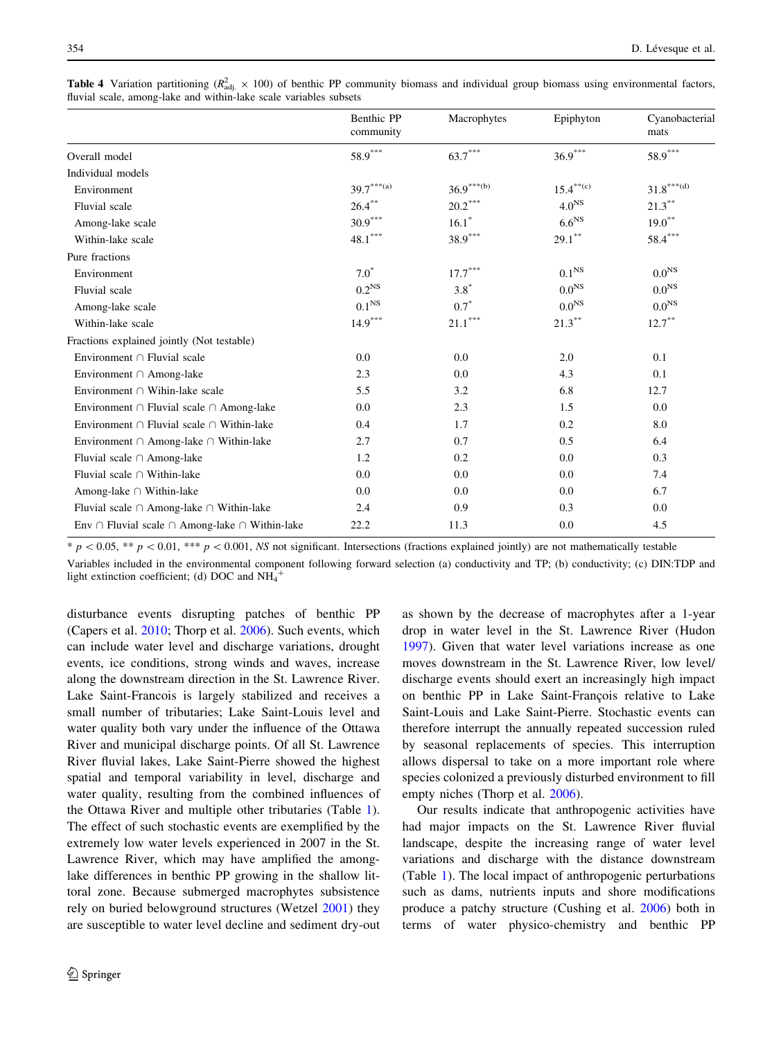|                                                               | Benthic PP<br>community | Macrophytes                         | Epiphyton            | Cyanobacterial<br>mats        |
|---------------------------------------------------------------|-------------------------|-------------------------------------|----------------------|-------------------------------|
| Overall model                                                 | $58.9^{\ast\ast\ast}$   | $63.7***$                           | $36.9***$            | $58.9***$                     |
| Individual models                                             |                         |                                     |                      |                               |
| Environment                                                   | $39.7***(a)$            | $36.9^{\ast\ast\ast\left(b\right)}$ | $15.4^{\ast\ast(c)}$ | $31.8^{\ast\ast\ast\circ(d)}$ |
| Fluvial scale                                                 | $26.4***$               | $20.2***$                           | 4.0 <sup>NS</sup>    | $21.3***$                     |
| Among-lake scale                                              | $30.9***$               | $16.1*$                             | 6.6 <sup>NS</sup>    | $19.0^{**}$                   |
| Within-lake scale                                             | $48.1***$               | $38.9***$                           | $29.1***$            | $58.4***$                     |
| Pure fractions                                                |                         |                                     |                      |                               |
| Environment                                                   | $7.0^\ast$              | $17.7^\ast{}^{\ast}{}^{\ast}$       | 0.1 <sup>NS</sup>    | 0.0 <sup>NS</sup>             |
| Fluvial scale                                                 | 0.2 <sup>NS</sup>       | $3.8*$                              | 0.0 <sup>NS</sup>    | 0.0 <sup>NS</sup>             |
| Among-lake scale                                              | $0.1^{\rm NS}$          | $0.7*$                              | 0.0 <sup>NS</sup>    | 0.0 <sup>NS</sup>             |
| Within-lake scale                                             | $14.9***$               | $21.1^{\ast\ast\ast}$               | $21.3***$            | $12.7***$                     |
| Fractions explained jointly (Not testable)                    |                         |                                     |                      |                               |
| Environment $\cap$ Fluvial scale                              | 0.0                     | 0.0                                 | 2.0                  | 0.1                           |
| Environment $\cap$ Among-lake                                 | 2.3                     | 0.0                                 | 4.3                  | 0.1                           |
| Environment $\cap$ Wihin-lake scale                           | 5.5                     | 3.2                                 | 6.8                  | 12.7                          |
| Environment $\cap$ Fluvial scale $\cap$ Among-lake            | 0.0                     | 2.3                                 | 1.5                  | 0.0                           |
| Environment $\cap$ Fluvial scale $\cap$ Within-lake           | 0.4                     | 1.7                                 | 0.2                  | 8.0                           |
| Environment $\cap$ Among-lake $\cap$ Within-lake              | 2.7                     | 0.7                                 | 0.5                  | 6.4                           |
| Fluvial scale $\cap$ Among-lake                               | 1.2                     | 0.2                                 | 0.0                  | 0.3                           |
| Fluvial scale $\cap$ Within-lake                              | 0.0                     | 0.0                                 | 0.0                  | 7.4                           |
| Among-lake $\cap$ Within-lake                                 | 0.0                     | 0.0                                 | 0.0                  | 6.7                           |
| Fluvial scale $\cap$ Among-lake $\cap$ Within-lake            | 2.4                     | 0.9                                 | 0.3                  | 0.0                           |
| Env $\cap$ Fluvial scale $\cap$ Among-lake $\cap$ Within-lake | 22.2                    | 11.3                                | 0.0                  | 4.5                           |

<span id="page-9-0"></span>**Table 4** Variation partitioning ( $R_{\text{adj.}}^2 \times 100$ ) of benthic PP community biomass and individual group biomass using environmental factors, fluvial scale, among-lake and within-lake scale variables subsets

 $* p < 0.05$ ,  $** p < 0.01$ ,  $** \times p < 0.001$ , NS not significant. Intersections (fractions explained jointly) are not mathematically testable

Variables included in the environmental component following forward selection (a) conductivity and TP; (b) conductivity; (c) DIN:TDP and light extinction coefficient; (d) DOC and  $NH_4^+$ 

disturbance events disrupting patches of benthic PP (Capers et al. [2010](#page-10-0); Thorp et al. [2006\)](#page-11-0). Such events, which can include water level and discharge variations, drought events, ice conditions, strong winds and waves, increase along the downstream direction in the St. Lawrence River. Lake Saint-Francois is largely stabilized and receives a small number of tributaries; Lake Saint-Louis level and water quality both vary under the influence of the Ottawa River and municipal discharge points. Of all St. Lawrence River fluvial lakes, Lake Saint-Pierre showed the highest spatial and temporal variability in level, discharge and water quality, resulting from the combined influences of the Ottawa River and multiple other tributaries (Table [1](#page-3-0)). The effect of such stochastic events are exemplified by the extremely low water levels experienced in 2007 in the St. Lawrence River, which may have amplified the amonglake differences in benthic PP growing in the shallow littoral zone. Because submerged macrophytes subsistence rely on buried belowground structures (Wetzel [2001](#page-11-0)) they are susceptible to water level decline and sediment dry-out

as shown by the decrease of macrophytes after a 1-year drop in water level in the St. Lawrence River (Hudon [1997](#page-10-0)). Given that water level variations increase as one moves downstream in the St. Lawrence River, low level/ discharge events should exert an increasingly high impact on benthic PP in Lake Saint-François relative to Lake Saint-Louis and Lake Saint-Pierre. Stochastic events can therefore interrupt the annually repeated succession ruled by seasonal replacements of species. This interruption allows dispersal to take on a more important role where species colonized a previously disturbed environment to fill empty niches (Thorp et al. [2006](#page-11-0)).

Our results indicate that anthropogenic activities have had major impacts on the St. Lawrence River fluvial landscape, despite the increasing range of water level variations and discharge with the distance downstream (Table [1\)](#page-3-0). The local impact of anthropogenic perturbations such as dams, nutrients inputs and shore modifications produce a patchy structure (Cushing et al. [2006](#page-10-0)) both in terms of water physico-chemistry and benthic PP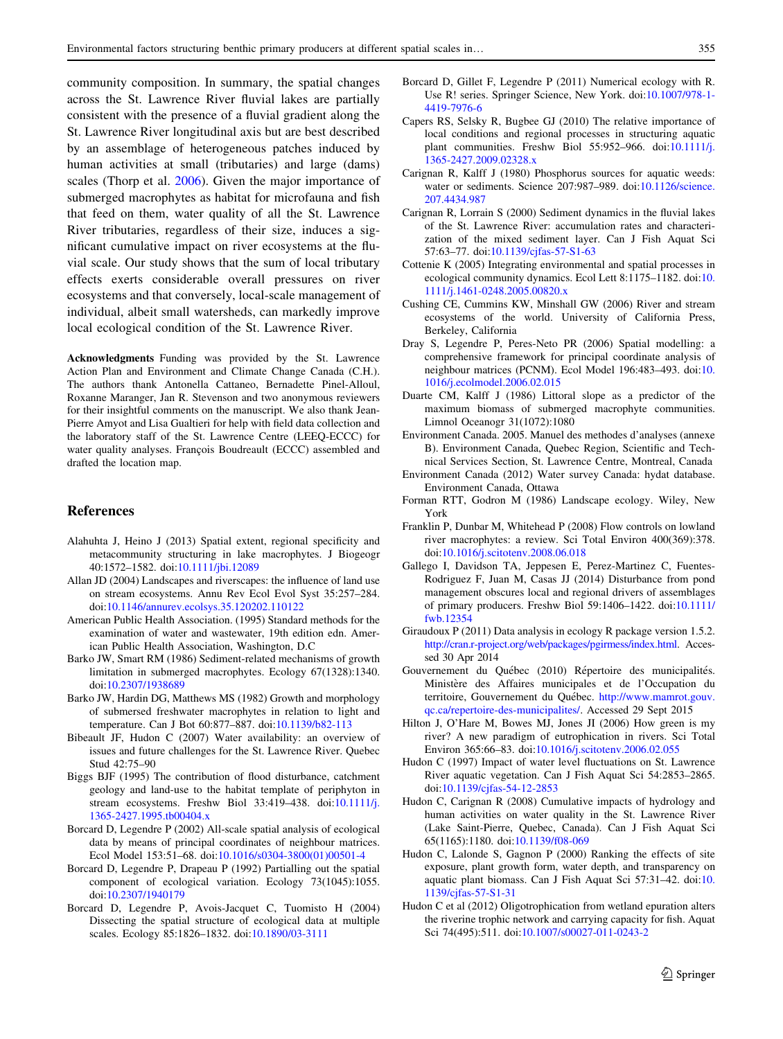<span id="page-10-0"></span>community composition. In summary, the spatial changes across the St. Lawrence River fluvial lakes are partially consistent with the presence of a fluvial gradient along the St. Lawrence River longitudinal axis but are best described by an assemblage of heterogeneous patches induced by human activities at small (tributaries) and large (dams) scales (Thorp et al. [2006](#page-11-0)). Given the major importance of submerged macrophytes as habitat for microfauna and fish that feed on them, water quality of all the St. Lawrence River tributaries, regardless of their size, induces a significant cumulative impact on river ecosystems at the fluvial scale. Our study shows that the sum of local tributary effects exerts considerable overall pressures on river ecosystems and that conversely, local-scale management of individual, albeit small watersheds, can markedly improve local ecological condition of the St. Lawrence River.

Acknowledgments Funding was provided by the St. Lawrence Action Plan and Environment and Climate Change Canada (C.H.). The authors thank Antonella Cattaneo, Bernadette Pinel-Alloul, Roxanne Maranger, Jan R. Stevenson and two anonymous reviewers for their insightful comments on the manuscript. We also thank Jean-Pierre Amyot and Lisa Gualtieri for help with field data collection and the laboratory staff of the St. Lawrence Centre (LEEQ-ECCC) for water quality analyses. François Boudreault (ECCC) assembled and drafted the location map.

# References

- Alahuhta J, Heino J (2013) Spatial extent, regional specificity and metacommunity structuring in lake macrophytes. J Biogeogr 40:1572–1582. doi[:10.1111/jbi.12089](http://dx.doi.org/10.1111/jbi.12089)
- Allan JD (2004) Landscapes and riverscapes: the influence of land use on stream ecosystems. Annu Rev Ecol Evol Syst 35:257–284. doi[:10.1146/annurev.ecolsys.35.120202.110122](http://dx.doi.org/10.1146/annurev.ecolsys.35.120202.110122)
- American Public Health Association. (1995) Standard methods for the examination of water and wastewater, 19th edition edn. American Public Health Association, Washington, D.C
- Barko JW, Smart RM (1986) Sediment-related mechanisms of growth limitation in submerged macrophytes. Ecology 67(1328):1340. doi[:10.2307/1938689](http://dx.doi.org/10.2307/1938689)
- Barko JW, Hardin DG, Matthews MS (1982) Growth and morphology of submersed freshwater macrophytes in relation to light and temperature. Can J Bot 60:877–887. doi:[10.1139/b82-113](http://dx.doi.org/10.1139/b82-113)
- Bibeault JF, Hudon C (2007) Water availability: an overview of issues and future challenges for the St. Lawrence River. Quebec Stud 42:75–90
- Biggs BJF (1995) The contribution of flood disturbance, catchment geology and land-use to the habitat template of periphyton in stream ecosystems. Freshw Biol 33:419–438. doi:[10.1111/j.](http://dx.doi.org/10.1111/j.1365-2427.1995.tb00404.x) [1365-2427.1995.tb00404.x](http://dx.doi.org/10.1111/j.1365-2427.1995.tb00404.x)
- Borcard D, Legendre P (2002) All-scale spatial analysis of ecological data by means of principal coordinates of neighbour matrices. Ecol Model 153:51–68. doi:[10.1016/s0304-3800\(01\)00501-4](http://dx.doi.org/10.1016/s0304-3800(01)00501-4)
- Borcard D, Legendre P, Drapeau P (1992) Partialling out the spatial component of ecological variation. Ecology 73(1045):1055. doi[:10.2307/1940179](http://dx.doi.org/10.2307/1940179)
- Borcard D, Legendre P, Avois-Jacquet C, Tuomisto H (2004) Dissecting the spatial structure of ecological data at multiple scales. Ecology 85:1826–1832. doi:[10.1890/03-3111](http://dx.doi.org/10.1890/03-3111)
- Borcard D, Gillet F, Legendre P (2011) Numerical ecology with R. Use R! series. Springer Science, New York. doi:[10.1007/978-1-](http://dx.doi.org/10.1007/978-1-4419-7976-6) [4419-7976-6](http://dx.doi.org/10.1007/978-1-4419-7976-6)
- Capers RS, Selsky R, Bugbee GJ (2010) The relative importance of local conditions and regional processes in structuring aquatic plant communities. Freshw Biol 55:952–966. doi:[10.1111/j.](http://dx.doi.org/10.1111/j.1365-2427.2009.02328.x) [1365-2427.2009.02328.x](http://dx.doi.org/10.1111/j.1365-2427.2009.02328.x)
- Carignan R, Kalff J (1980) Phosphorus sources for aquatic weeds: water or sediments. Science 207:987–989. doi[:10.1126/science.](http://dx.doi.org/10.1126/science.207.4434.987) [207.4434.987](http://dx.doi.org/10.1126/science.207.4434.987)
- Carignan R, Lorrain S (2000) Sediment dynamics in the fluvial lakes of the St. Lawrence River: accumulation rates and characterization of the mixed sediment layer. Can J Fish Aquat Sci 57:63–77. doi[:10.1139/cjfas-57-S1-63](http://dx.doi.org/10.1139/cjfas-57-S1-63)
- Cottenie K (2005) Integrating environmental and spatial processes in ecological community dynamics. Ecol Lett 8:1175–1182. doi:[10.](http://dx.doi.org/10.1111/j.1461-0248.2005.00820.x) [1111/j.1461-0248.2005.00820.x](http://dx.doi.org/10.1111/j.1461-0248.2005.00820.x)
- Cushing CE, Cummins KW, Minshall GW (2006) River and stream ecosystems of the world. University of California Press, Berkeley, California
- Dray S, Legendre P, Peres-Neto PR (2006) Spatial modelling: a comprehensive framework for principal coordinate analysis of neighbour matrices (PCNM). Ecol Model 196:483–493. doi:[10.](http://dx.doi.org/10.1016/j.ecolmodel.2006.02.015) [1016/j.ecolmodel.2006.02.015](http://dx.doi.org/10.1016/j.ecolmodel.2006.02.015)
- Duarte CM, Kalff J (1986) Littoral slope as a predictor of the maximum biomass of submerged macrophyte communities. Limnol Oceanogr 31(1072):1080
- Environment Canada. 2005. Manuel des methodes d'analyses (annexe B). Environment Canada, Quebec Region, Scientific and Technical Services Section, St. Lawrence Centre, Montreal, Canada
- Environment Canada (2012) Water survey Canada: hydat database. Environment Canada, Ottawa
- Forman RTT, Godron M (1986) Landscape ecology. Wiley, New York
- Franklin P, Dunbar M, Whitehead P (2008) Flow controls on lowland river macrophytes: a review. Sci Total Environ 400(369):378. doi[:10.1016/j.scitotenv.2008.06.018](http://dx.doi.org/10.1016/j.scitotenv.2008.06.018)
- Gallego I, Davidson TA, Jeppesen E, Perez-Martinez C, Fuentes-Rodriguez F, Juan M, Casas JJ (2014) Disturbance from pond management obscures local and regional drivers of assemblages of primary producers. Freshw Biol 59:1406–1422. doi[:10.1111/](http://dx.doi.org/10.1111/fwb.12354) [fwb.12354](http://dx.doi.org/10.1111/fwb.12354)
- Giraudoux P (2011) Data analysis in ecology R package version 1.5.2. <http://cran.r-project.org/web/packages/pgirmess/index.html>. Accessed 30 Apr 2014
- Gouvernement du Québec (2010) Répertoire des municipalités. Ministère des Affaires municipales et de l'Occupation du territoire, Gouvernement du Québec. [http://www.mamrot.gouv.](http://www.mamrot.gouv.qc.ca/repertoire-des-municipalites/) [qc.ca/repertoire-des-municipalites/.](http://www.mamrot.gouv.qc.ca/repertoire-des-municipalites/) Accessed 29 Sept 2015
- Hilton J, O'Hare M, Bowes MJ, Jones JI (2006) How green is my river? A new paradigm of eutrophication in rivers. Sci Total Environ 365:66–83. doi:[10.1016/j.scitotenv.2006.02.055](http://dx.doi.org/10.1016/j.scitotenv.2006.02.055)
- Hudon C (1997) Impact of water level fluctuations on St. Lawrence River aquatic vegetation. Can J Fish Aquat Sci 54:2853–2865. doi[:10.1139/cjfas-54-12-2853](http://dx.doi.org/10.1139/cjfas-54-12-2853)
- Hudon C, Carignan R (2008) Cumulative impacts of hydrology and human activities on water quality in the St. Lawrence River (Lake Saint-Pierre, Quebec, Canada). Can J Fish Aquat Sci 65(1165):1180. doi:[10.1139/f08-069](http://dx.doi.org/10.1139/f08-069)
- Hudon C, Lalonde S, Gagnon P (2000) Ranking the effects of site exposure, plant growth form, water depth, and transparency on aquatic plant biomass. Can J Fish Aquat Sci 57:31–42. doi:[10.](http://dx.doi.org/10.1139/cjfas-57-S1-31) [1139/cjfas-57-S1-31](http://dx.doi.org/10.1139/cjfas-57-S1-31)
- Hudon C et al (2012) Oligotrophication from wetland epuration alters the riverine trophic network and carrying capacity for fish. Aquat Sci 74(495):511. doi:[10.1007/s00027-011-0243-2](http://dx.doi.org/10.1007/s00027-011-0243-2)